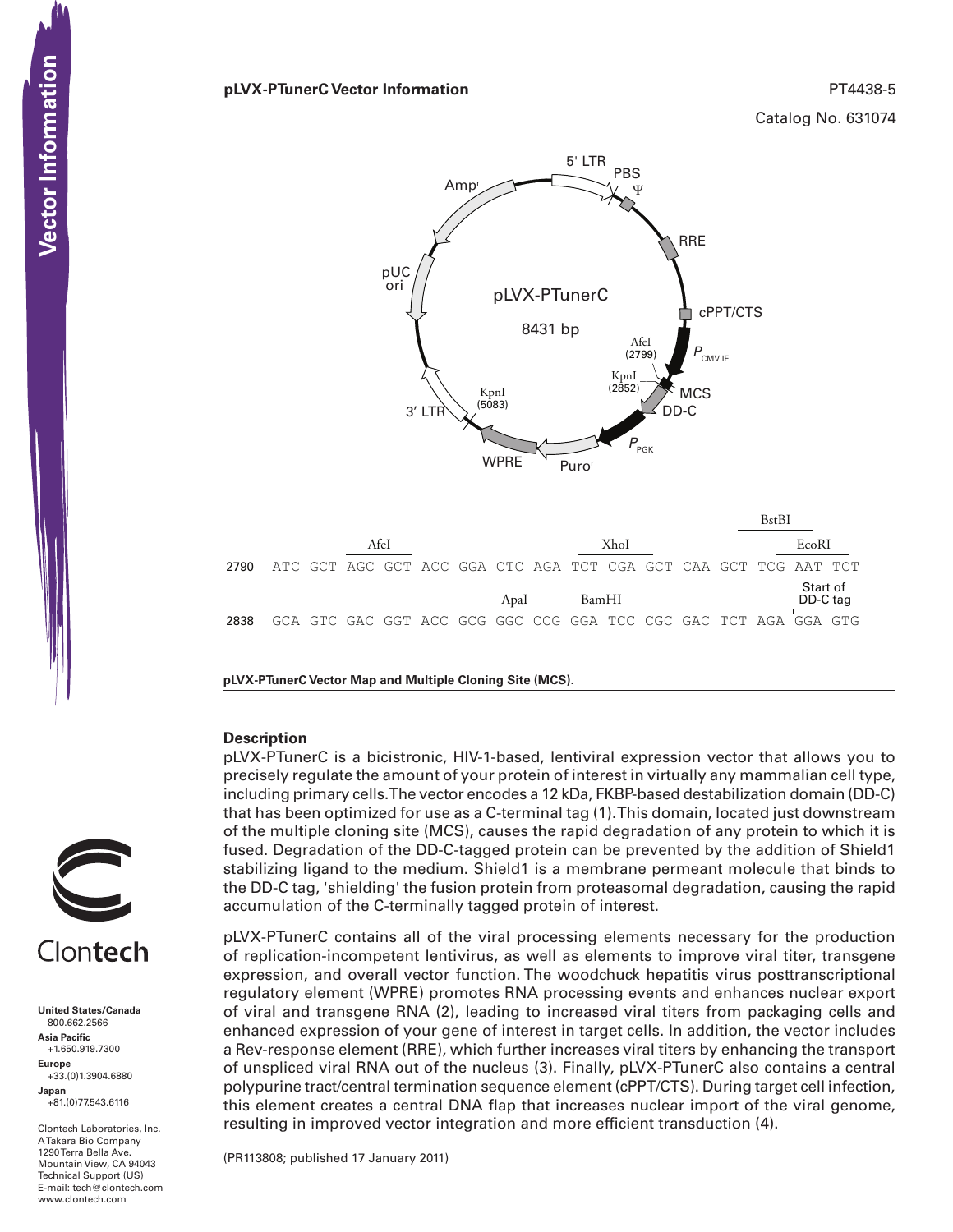### **pLVX-PTunerC Vector Information** PT4438-5

Catalog No. 631074



|       |                                                                   |  |  |  |  |  |      |  |       |  | BstBI |  |  |       |                      |  |
|-------|-------------------------------------------------------------------|--|--|--|--|--|------|--|-------|--|-------|--|--|-------|----------------------|--|
|       | AfeI                                                              |  |  |  |  |  |      |  | XhoI  |  |       |  |  | EcoRI |                      |  |
| 2790. | ATC GCT AGC GCT ACC GGA CTC AGA TCT CGA GCT CAA GCT TCG AAT TCT   |  |  |  |  |  |      |  |       |  |       |  |  |       |                      |  |
|       |                                                                   |  |  |  |  |  | Apal |  | BamHI |  |       |  |  |       | Start of<br>DD-C tag |  |
| 2838  | - GCA GTC GAC GGT ACC GCG GGC CCG GGA TCC CGC GAC TCT AGA GGA GTG |  |  |  |  |  |      |  |       |  |       |  |  |       |                      |  |
|       |                                                                   |  |  |  |  |  |      |  |       |  |       |  |  |       |                      |  |

**pLVX-PTunerC Vector Map and Multiple Cloning Site (MCS).**

#### **Description**

pLVX-PTunerC is a bicistronic, HIV-1-based, lentiviral expression vector that allows you to precisely regulate the amount of your protein of interest in virtually any mammalian cell type, including primary cells. The vector encodes a 12 kDa, FKBP-based destabilization domain (DD-C) that has been optimized for use as a C-terminal tag (1).This domain, located just downstream of the multiple cloning site (MCS), causes the rapid degradation of any protein to which it is fused. Degradation of the DD-C-tagged protein can be prevented by the addition of Shield1 stabilizing ligand to the medium. Shield1 is a membrane permeant molecule that binds to the DD-C tag, 'shielding' the fusion protein from proteasomal degradation, causing the rapid accumulation of the C-terminally tagged protein of interest.

pLVX-PTunerC contains all of the viral processing elements necessary for the production of replication-incompetent lentivirus, as well as elements to improve viral titer, transgene expression, and overall vector function. The woodchuck hepatitis virus posttranscriptional regulatory element (WPRE) promotes RNA processing events and enhances nuclear export of viral and transgene RNA (2), leading to increased viral titers from packaging cells and enhanced expression of your gene of interest in target cells. In addition, the vector includes a Rev-response element (RRE), which further increases viral titers by enhancing the transport of unspliced viral RNA out of the nucleus (3). Finally, pLVX-PTunerC also contains a central polypurine tract/central termination sequence element (cPPT/CTS). During target cell infection, this element creates a central DNA flap that increases nuclear import of the viral genome, resulting in improved vector integration and more efficient transduction (4).

(PR113808; published 17 January 2011)

Clontech

**United States/Canada** 800.662.2566 **Asia Pacific** +1.650.919.7300 **Europe** +33.(0)1.3904.6880 **Japan** +81.(0)77.543.6116

Clontech Laboratories, Inc. A Takara Bio Company 1290 Terra Bella Ave. Mountain View, CA 94043 Technical Support (US) E-mail: tech@clontech.com<br>www.clontech.com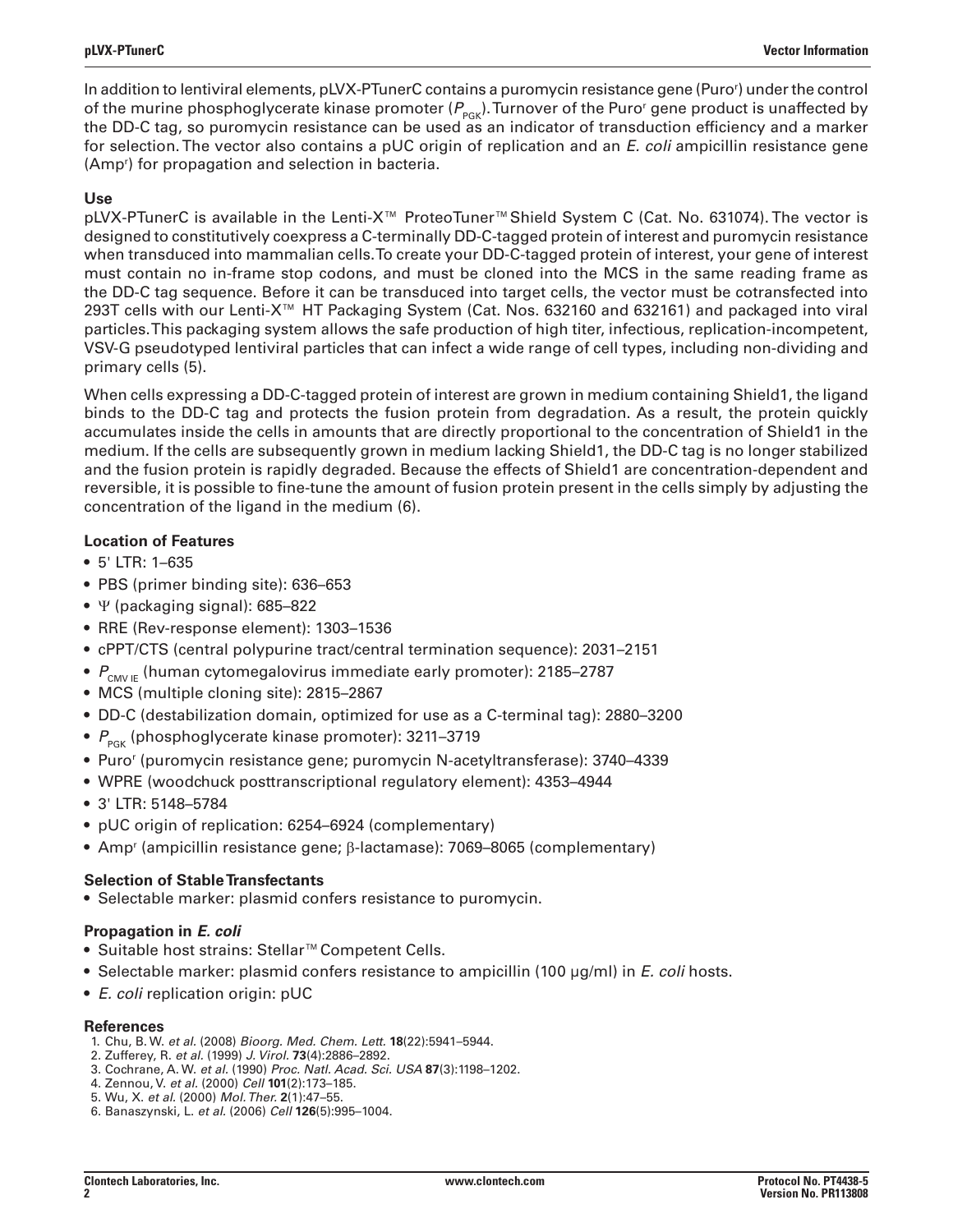In addition to lentiviral elements, pLVX-PTunerC contains a puromycin resistance gene (Puror ) under the control of the murine phosphoglycerate kinase promoter ( $P_{_{\sf{PGK}}}$ ). Turnover of the Puro<sup>r</sup> gene product is unaffected by the DD-C tag, so puromycin resistance can be used as an indicator of transduction efficiency and a marker for selection. The vector also contains a pUC origin of replication and an *E. coli* ampicillin resistance gene (Amp<sup>r</sup>) for propagation and selection in bacteria.

# **Use**

pLVX-PTunerC is available in the Lenti-X™ ProteoTuner™Shield System C (Cat. No. 631074). The vector is designed to constitutively coexpress a C-terminally DD-C-tagged protein of interest and puromycin resistance when transduced into mammalian cells. To create your DD-C-tagged protein of interest, your gene of interest must contain no in-frame stop codons, and must be cloned into the MCS in the same reading frame as the DD-C tag sequence. Before it can be transduced into target cells, the vector must be cotransfected into 293T cells with our Lenti-X™ HT Packaging System (Cat. Nos. 632160 and 632161) and packaged into viral particles. This packaging system allows the safe production of high titer, infectious, replication-incompetent, VSV-G pseudotyped lentiviral particles that can infect a wide range of cell types, including non-dividing and primary cells (5).

When cells expressing a DD-C-tagged protein of interest are grown in medium containing Shield1, the ligand binds to the DD-C tag and protects the fusion protein from degradation. As a result, the protein quickly accumulates inside the cells in amounts that are directly proportional to the concentration of Shield1 in the medium. If the cells are subsequently grown in medium lacking Shield1, the DD-C tag is no longer stabilized and the fusion protein is rapidly degraded. Because the effects of Shield1 are concentration-dependent and reversible, it is possible to fine-tune the amount of fusion protein present in the cells simply by adjusting the concentration of the ligand in the medium (6).

## **Location of Features**

- • 5' LTR: 1–635
- PBS (primer binding site): 636-653
- Ψ (packaging signal): 685–822
- RRE (Rev-response element): 1303–1536
- • cPPT/CTS (central polypurine tract/central termination sequence): 2031–2151
- $P_{\text{CMVF}}$  (human cytomegalovirus immediate early promoter): 2185–2787
- MCS (multiple cloning site): 2815-2867
- • DD-C (destabilization domain, optimized for use as a C-terminal tag): 2880–3200
- $P_{PCK}$  (phosphoglycerate kinase promoter): 3211–3719
- • Puro<sup>r</sup> (puromycin resistance gene; puromycin N-acetyltransferase): 3740–4339
- WPRE (woodchuck posttranscriptional regulatory element): 4353–4944
- • 3' LTR: 5148–5784
- pUC origin of replication: 6254–6924 (complementary)
- Amp<sup>r</sup> (ampicillin resistance gene; β-lactamase): 7069–8065 (complementary)

## **Selection of Stable Transfectants**

• Selectable marker: plasmid confers resistance to puromycin.

## **Propagation in** *E. coli*

- • Suitable host strains: Stellar™Competent Cells.
- • Selectable marker: plasmid confers resistance to ampicillin (100 µg/ml) in *E. coli* hosts.
- • *E. coli* replication origin: pUC

## **References**

- 1. Chu, B. W. *et al.* (2008) *Bioorg. Med. Chem. Lett.* **18**(22):5941–5944.
- 2. Zufferey, R. *et al.* (1999) *J. Virol.* **73**(4):2886–2892.
- 3. Cochrane, A. W. *et al.* (1990) *Proc. Natl. Acad. Sci. USA* **87**(3):1198–1202.
- 4. Zennou, V. *et al.* (2000) *Cell* **101**(2):173–185.
- 5. Wu, X. *et al.* (2000) *Mol. Ther.* **2**(1):47–55.
- 6. Banaszynski, L. *et al.* (2006) *Cell* **126**(5):995–1004.